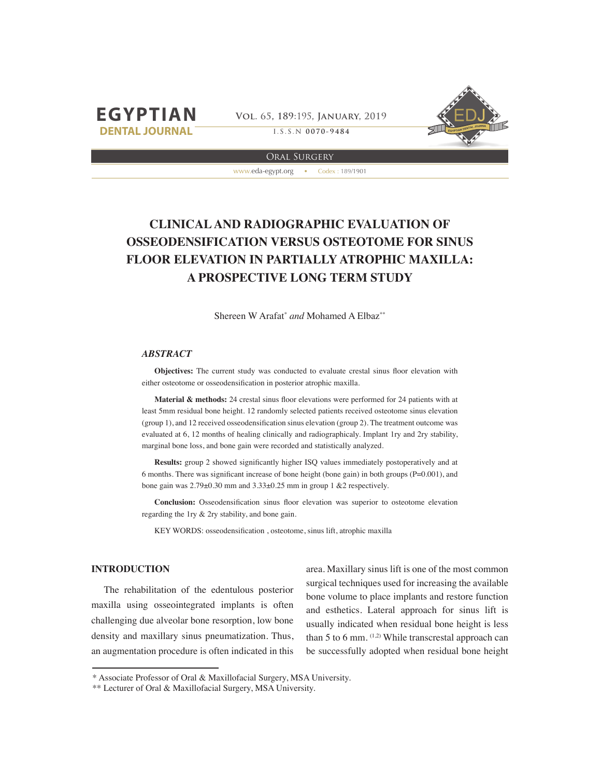

**Vol. 65, 189:**195**, January, 2019**



**DENTAL JOURNAL**

**I.S.S.N 0070-9484**

www.eda-egypt.org • Codex : 189/1901 Oral Surgery

# **CLINICAL AND RADIOGRAPHIC EVALUATION OF OSSEODENSIFICATION VERSUS OSTEOTOME FOR SINUS FLOOR ELEVATION IN PARTIALLY ATROPHIC MAXILLA: A PROSPECTIVE LONG TERM STUDY**

Shereen W Arafat<sup>\*</sup> and Mohamed A Elbaz<sup>\*\*</sup>

#### *ABSTRACT*

**Objectives:** The current study was conducted to evaluate crestal sinus floor elevation with either osteotome or osseodensification in posterior atrophic maxilla.

**Material & methods:** 24 crestal sinus floor elevations were performed for 24 patients with at least 5mm residual bone height. 12 randomly selected patients received osteotome sinus elevation (group 1), and 12 received osseodensification sinus elevation (group 2). The treatment outcome was evaluated at 6, 12 months of healing clinically and radiographicaly. Implant 1ry and 2ry stability, marginal bone loss, and bone gain were recorded and statistically analyzed.

**Results:** group 2 showed significantly higher ISQ values immediately postoperatively and at 6 months. There was significant increase of bone height (bone gain) in both groups ( $P=0.001$ ), and bone gain was 2.79±0.30 mm and 3.33±0.25 mm in group 1 &2 respectively.

Conclusion: Osseodensification sinus floor elevation was superior to osteotome elevation regarding the 1ry & 2ry stability, and bone gain.

KEY WORDS: osseodensification, osteotome, sinus lift, atrophic maxilla

# **INTRODUCTION**

The rehabilitation of the edentulous posterior maxilla using osseointegrated implants is often challenging due alveolar bone resorption, low bone density and maxillary sinus pneumatization. Thus, an augmentation procedure is often indicated in this area. Maxillary sinus lift is one of the most common surgical techniques used for increasing the available bone volume to place implants and restore function and esthetics. Lateral approach for sinus lift is usually indicated when residual bone height is less than 5 to 6 mm.  $(1,2)$  While transcrestal approach can be successfully adopted when residual bone height

<sup>\*</sup> Associate Professor of Oral & Maxillofacial Surgery, MSA University.

<sup>\*\*</sup> Lecturer of Oral & Maxillofacial Surgery, MSA University.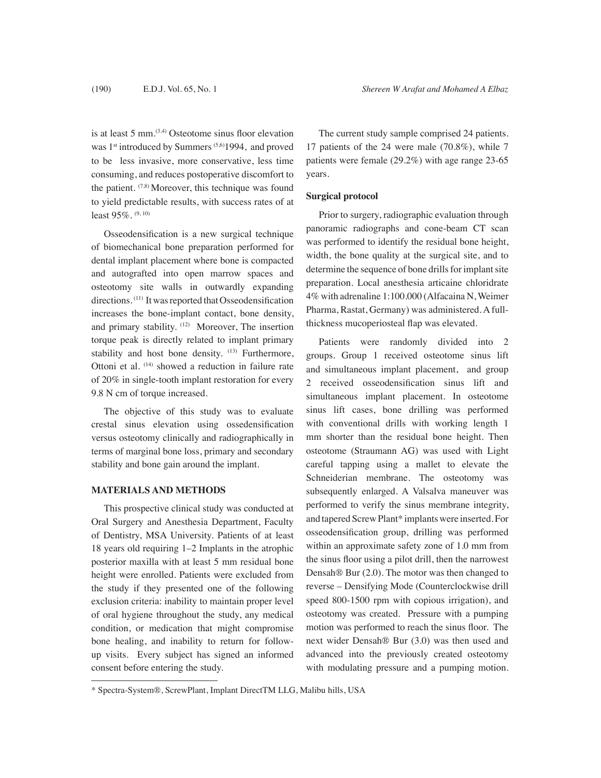least 95%. (9, 10)

is at least 5 mm. $(3,4)$  Osteotome sinus floor elevation was 1<sup>st</sup> introduced by Summers <sup>(5,6)</sup>1994, and proved to be less invasive, more conservative, less time consuming, and reduces postoperative discomfort to the patient.  $(7,8)$  Moreover, this technique was found to yield predictable results, with success rates of at

Osseodensification is a new surgical technique of biomechanical bone preparation performed for dental implant placement where bone is compacted and autografted into open marrow spaces and osteotomy site walls in outwardly expanding directions. (11) It was reported that Osseodensification increases the bone-implant contact, bone density, and primary stability. (12) Moreover, The insertion torque peak is directly related to implant primary stability and host bone density. (13) Furthermore, Ottoni et al. (14) showed a reduction in failure rate of 20% in single-tooth implant restoration for every 9.8 N cm of torque increased.

The objective of this study was to evaluate crestal sinus elevation using ossedensification versus osteotomy clinically and radiographically in terms of marginal bone loss, primary and secondary stability and bone gain around the implant.

## **MATERIALS AND METHODS**

This prospective clinical study was conducted at Oral Surgery and Anesthesia Department, Faculty of Dentistry, MSA University. Patients of at least 18 years old requiring 1–2 Implants in the atrophic posterior maxilla with at least 5 mm residual bone height were enrolled. Patients were excluded from the study if they presented one of the following exclusion criteria: inability to maintain proper level of oral hygiene throughout the study, any medical condition, or medication that might compromise bone healing, and inability to return for followup visits. Every subject has signed an informed consent before entering the study.

The current study sample comprised 24 patients. 17 patients of the 24 were male (70.8%), while 7 patients were female (29.2%) with age range 23-65 years.

#### **Surgical protocol**

Prior to surgery, radiographic evaluation through panoramic radiographs and cone-beam CT scan was performed to identify the residual bone height, width, the bone quality at the surgical site, and to determine the sequence of bone drills for implant site preparation. Local anesthesia articaine chloridrate 4% with adrenaline 1:100.000 (Alfacaina N, Weimer Pharma, Rastat, Germany) was administered. A fullthickness mucoperiosteal flap was elevated.

Patients were randomly divided into 2 groups. Group 1 received osteotome sinus lift and simultaneous implant placement, and group 2 received osseodensification sinus lift and simultaneous implant placement. In osteotome sinus lift cases, bone drilling was performed with conventional drills with working length 1 mm shorter than the residual bone height. Then osteotome (Straumann AG) was used with Light careful tapping using a mallet to elevate the Schneiderian membrane. The osteotomy was subsequently enlarged. A Valsalva maneuver was performed to verify the sinus membrane integrity, and tapered Screw Plant\* implants were inserted. For osseodensification group, drilling was performed within an approximate safety zone of 1.0 mm from the sinus floor using a pilot drill, then the narrowest Densah® Bur (2.0). The motor was then changed to reverse – Densifying Mode (Counterclockwise drill speed 800-1500 rpm with copious irrigation), and osteotomy was created. Pressure with a pumping motion was performed to reach the sinus floor. The next wider Densah® Bur (3.0) was then used and advanced into the previously created osteotomy with modulating pressure and a pumping motion.

<sup>\*</sup> Spectra-System®, ScrewPlant, Implant DirectTM LLG, Malibu hills, USA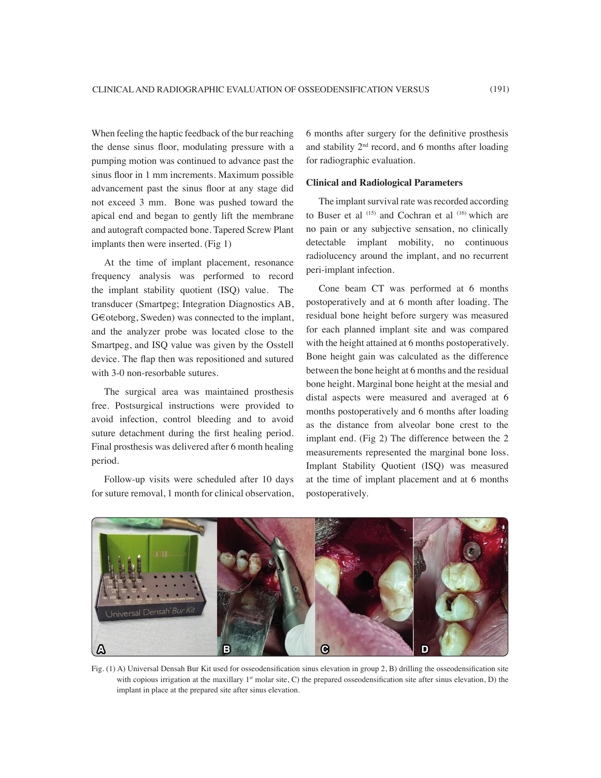When feeling the haptic feedback of the bur reaching the dense sinus floor, modulating pressure with a pumping motion was continued to advance past the sinus floor in 1 mm increments. Maximum possible advancement past the sinus floor at any stage did not exceed 3 mm. Bone was pushed toward the apical end and began to gently lift the membrane and autograft compacted bone. Tapered Screw Plant implants then were inserted. (Fig 1)

At the time of implant placement, resonance frequency analysis was performed to record the implant stability quotient (ISQ) value. The transducer (Smartpeg; Integration Diagnostics AB, G€oteborg, Sweden) was connected to the implant, and the analyzer probe was located close to the Smartpeg, and ISQ value was given by the Osstell device. The flap then was repositioned and sutured with 3-0 non-resorbable sutures.

The surgical area was maintained prosthesis free. Postsurgical instructions were provided to avoid infection, control bleeding and to avoid suture detachment during the first healing period. Final prosthesis was delivered after 6 month healing period.

Follow-up visits were scheduled after 10 days for suture removal, 1 month for clinical observation, 6 months after surgery for the definitive prosthesis and stability 2<sup>nd</sup> record, and 6 months after loading for radiographic evaluation.

## **Clinical and Radiological Parameters**

The implant survival rate was recorded according to Buser et al  $(15)$  and Cochran et al  $(16)$  which are no pain or any subjective sensation, no clinically detectable implant mobility, no continuous radiolucency around the implant, and no recurrent peri-implant infection.

Cone beam CT was performed at 6 months postoperatively and at 6 month after loading. The residual bone height before surgery was measured for each planned implant site and was compared with the height attained at 6 months postoperatively. Bone height gain was calculated as the difference between the bone height at 6 months and the residual bone height. Marginal bone height at the mesial and distal aspects were measured and averaged at 6 months postoperatively and 6 months after loading as the distance from alveolar bone crest to the implant end. (Fig 2) The difference between the 2 measurements represented the marginal bone loss. Implant Stability Quotient (ISQ) was measured at the time of implant placement and at 6 months postoperatively.



Fig. (1) A) Universal Densah Bur Kit used for osseodensification sinus elevation in group 2, B) drilling the osseodensification site with copious irrigation at the maxillary  $1<sup>st</sup>$  molar site, C) the prepared osseodensification site after sinus elevation, D) the implant in place at the prepared site after sinus elevation.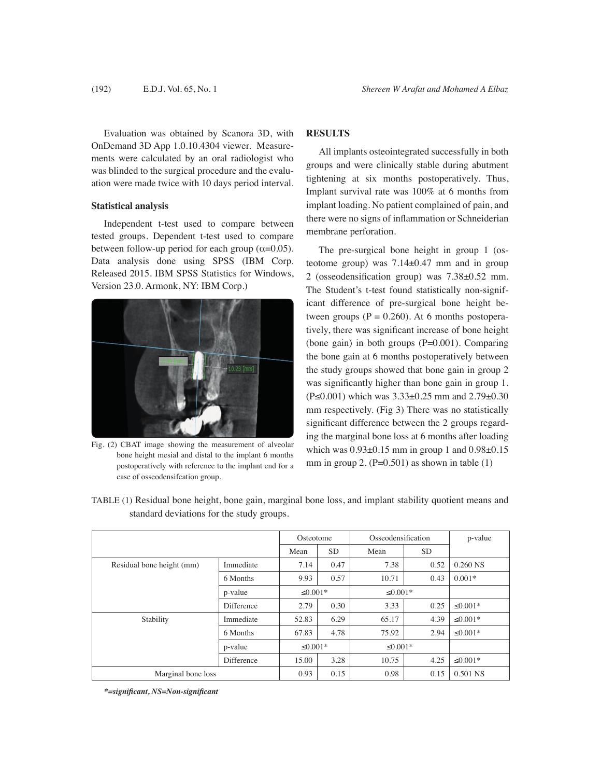Evaluation was obtained by Scanora 3D, with OnDemand 3D App 1.0.10.4304 viewer. Measurements were calculated by an oral radiologist who was blinded to the surgical procedure and the evaluation were made twice with 10 days period interval.

#### **Statistical analysis**

Independent t-test used to compare between tested groups. Dependent t-test used to compare between follow-up period for each group ( $\alpha$ =0.05). Data analysis done using SPSS (IBM Corp. Released 2015. IBM SPSS Statistics for Windows, Version 23.0. Armonk, NY: IBM Corp.)



Fig. (2) CBAT image showing the measurement of alveolar bone height mesial and distal to the implant 6 months postoperatively with reference to the implant end for a case of osseodensifcation group.

# **RESULTS**

All implants osteointegrated successfully in both groups and were clinically stable during abutment tightening at six months postoperatively. Thus, Implant survival rate was 100% at 6 months from implant loading. No patient complained of pain, and there were no signs of inflammation or Schneiderian membrane perforation.

The pre-surgical bone height in group 1 (osteotome group) was 7.14±0.47 mm and in group 2 (osseodensification group) was  $7.38\pm0.52$  mm. The Student's t-test found statistically non-significant difference of pre-surgical bone height between groups  $(P = 0.260)$ . At 6 months postoperatively, there was significant increase of bone height (bone gain) in both groups  $(P=0.001)$ . Comparing the bone gain at 6 months postoperatively between the study groups showed that bone gain in group 2 was significantly higher than bone gain in group 1.  $(P \le 0.001)$  which was  $3.33 \pm 0.25$  mm and  $2.79 \pm 0.30$ mm respectively. (Fig 3) There was no statistically significant difference between the 2 groups regarding the marginal bone loss at 6 months after loading which was  $0.93\pm0.15$  mm in group 1 and  $0.98\pm0.15$ mm in group 2.  $(P=0.501)$  as shown in table  $(1)$ 

Osteotome Desseodensification p-value Mean SD Mean SD Residual bone height (mm)  $\boxed{\text{Immediate}}$  7.14 0.47 7.38 0.52 0.260 NS 6 Months  $9.93 \begin{array}{|l} 0.57 \end{array}$  10.71 0.43 0.001\* p-value  $\leq 0.001^*$   $\leq 0.001^*$ Difference 2.79 0.30 3.33 0.25  $\leq 0.001*$ Stability **Immediate**  $\begin{array}{|l} \hline 52.83 & 6.29 \\ \hline \end{array}$  65.17 4.39  $\leq 0.001*$ 6 Months  $\begin{array}{|c|c|c|c|c|c|c|c|} \hline 67.83 & 4.78 & 75.92 & 2.94 & \leq 0.001^* \hline \end{array}$ p-value  $\leq 0.001^*$   $\leq 0.001^*$ 

Difference 15.00 3.28 10.75 4.25  $\leq 0.001^*$ 

Marginal bone loss 0.93 0.15 0.98 0.15 0.501 NS

TABLE (1) Residual bone height, bone gain, marginal bone loss, and implant stability quotient means and standard deviations for the study groups.

*\**=significant, NS=Non-significant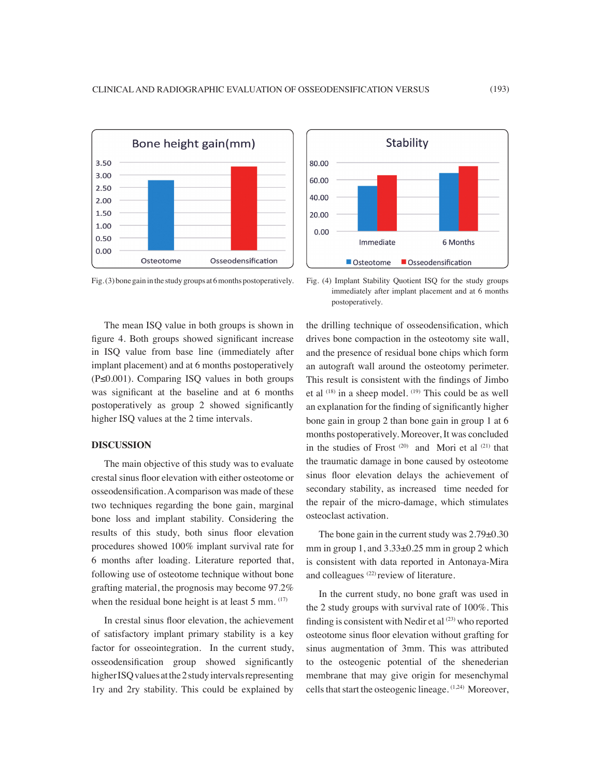



Fig. (3) bone gain in the study groups at 6 months postoperatively. Fig. (4) Implant Stability Quotient ISQ for the study groups immediately after implant placement and at 6 months postoperatively.

The mean ISQ value in both groups is shown in figure 4. Both groups showed significant increase in ISQ value from base line (immediately after implant placement) and at 6 months postoperatively  $(P \le 0.001)$ . Comparing ISQ values in both groups was significant at the baseline and at 6 months postoperatively as group 2 showed significantly higher ISQ values at the 2 time intervals.

## **DISCUSSION**

The main objective of this study was to evaluate crestal sinus floor elevation with either osteotome or osseodensification. A comparison was made of these two techniques regarding the bone gain, marginal bone loss and implant stability. Considering the results of this study, both sinus floor elevation procedures showed 100% implant survival rate for 6 months after loading. Literature reported that, following use of osteotome technique without bone grafting material, the prognosis may become 97.2% when the residual bone height is at least 5 mm. (17)

In crestal sinus floor elevation, the achievement of satisfactory implant primary stability is a key factor for osseointegration. In the current study, osseodensification group showed significantly higher ISQ values at the 2 study intervals representing 1ry and 2ry stability. This could be explained by

the drilling technique of osseodensification, which drives bone compaction in the osteotomy site wall, and the presence of residual bone chips which form an autograft wall around the osteotomy perimeter. This result is consistent with the findings of Jimbo et al  $(18)$  in a sheep model.  $(19)$  This could be as well an explanation for the finding of significantly higher bone gain in group 2 than bone gain in group 1 at 6 months postoperatively. Moreover, It was concluded in the studies of Frost<sup>(20)</sup> and Mori et al<sup>(21)</sup> that the traumatic damage in bone caused by osteotome sinus floor elevation delays the achievement of secondary stability, as increased time needed for the repair of the micro-damage, which stimulates osteoclast activation.

The bone gain in the current study was  $2.79\pm0.30$ mm in group 1, and  $3.33\pm0.25$  mm in group 2 which is consistent with data reported in Antonaya-Mira and colleagues (22) review of literature.

In the current study, no bone graft was used in the 2 study groups with survival rate of 100%. This finding is consistent with Nedir et al  $^{(23)}$  who reported osteotome sinus floor elevation without grafting for sinus augmentation of 3mm. This was attributed to the osteogenic potential of the shenederian membrane that may give origin for mesenchymal cells that start the osteogenic lineage. (1,24) Moreover,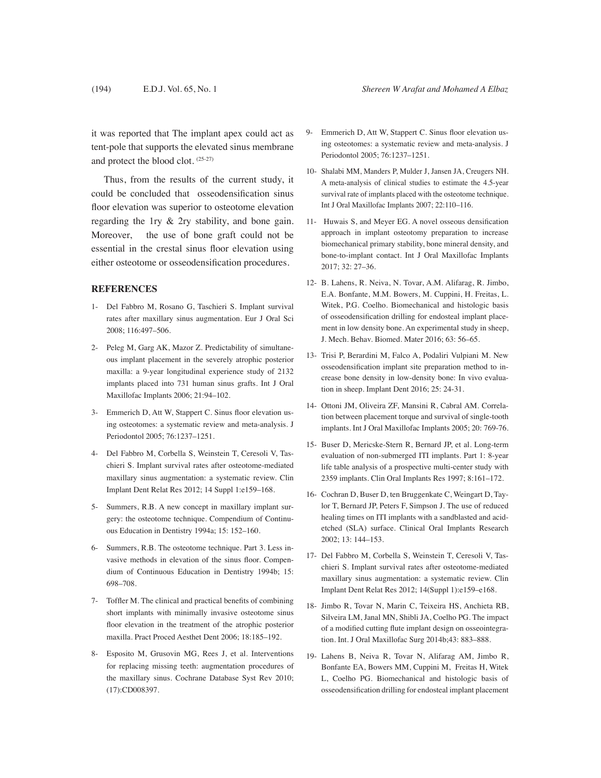it was reported that The implant apex could act as tent-pole that supports the elevated sinus membrane and protect the blood clot. (25-27)

Thus, from the results of the current study, it could be concluded that osseodensification sinus floor elevation was superior to osteotome elevation regarding the 1ry & 2ry stability, and bone gain. Moreover, the use of bone graft could not be essential in the crestal sinus floor elevation using either osteotome or osseodensification procedures.

### **REFERENCES**

- 1- Del Fabbro M, Rosano G, Taschieri S. Implant survival rates after maxillary sinus augmentation. Eur J Oral Sci 2008; 116:497–506.
- 2- Peleg M, Garg AK, Mazor Z. Predictability of simultaneous implant placement in the severely atrophic posterior maxilla: a 9-year longitudinal experience study of 2132 implants placed into 731 human sinus grafts. Int J Oral Maxillofac Implants 2006; 21:94–102.
- 3- Emmerich D, Att W, Stappert C. Sinus floor elevation using osteotomes: a systematic review and meta-analysis. J Periodontol 2005; 76:1237–1251.
- 4- Del Fabbro M, Corbella S, Weinstein T, Ceresoli V, Taschieri S. Implant survival rates after osteotome-mediated maxillary sinus augmentation: a systematic review. Clin Implant Dent Relat Res 2012; 14 Suppl 1:e159–168.
- 5- Summers, R.B. A new concept in maxillary implant surgery: the osteotome technique. Compendium of Continuous Education in Dentistry 1994a; 15: 152–160.
- 6- Summers, R.B. The osteotome technique. Part 3. Less invasive methods in elevation of the sinus floor. Compendium of Continuous Education in Dentistry 1994b; 15: 698–708.
- 7- Toffler M. The clinical and practical benefits of combining short implants with minimally invasive osteotome sinus floor elevation in the treatment of the atrophic posterior maxilla. Pract Proced Aesthet Dent 2006; 18:185–192.
- 8- Esposito M, Grusovin MG, Rees J, et al. Interventions for replacing missing teeth: augmentation procedures of the maxillary sinus. Cochrane Database Syst Rev 2010; (17):CD008397.
- 9- Emmerich D, Att W, Stappert C. Sinus floor elevation using osteotomes: a systematic review and meta-analysis. J Periodontol 2005; 76:1237–1251.
- 10- Shalabi MM, Manders P, Mulder J, Jansen JA, Creugers NH. A meta-analysis of clinical studies to estimate the 4.5-year survival rate of implants placed with the osteotome technique. Int J Oral Maxillofac Implants 2007; 22:110–116.
- 11- Huwais S, and Meyer EG. A novel osseous densification approach in implant osteotomy preparation to increase biomechanical primary stability, bone mineral density, and bone-to-implant contact. Int J Oral Maxillofac Implants 2017; 32: 27–36.
- 12- B. Lahens, R. Neiva, N. Tovar, A.M. Alifarag, R. Jimbo, E.A. Bonfante, M.M. Bowers, M. Cuppini, H. Freitas, L. Witek, P.G. Coelho. Biomechanical and histologic basis of osseodensification drilling for endosteal implant placement in low density bone. An experimental study in sheep, J. Mech. Behav. Biomed. Mater 2016; 63: 56–65.
- 13- Trisi P, Berardini M, Falco A, Podaliri Vulpiani M. New osseodensification implant site preparation method to increase bone density in low-density bone: In vivo evaluation in sheep. Implant Dent 2016; 25: 24-31.
- 14- Ottoni JM, Oliveira ZF, Mansini R, Cabral AM. Correlation between placement torque and survival of single-tooth implants. Int J Oral Maxillofac Implants 2005; 20: 769-76.
- 15- Buser D, Mericske-Stern R, Bernard JP, et al. Long-term evaluation of non-submerged ITI implants. Part 1: 8-year life table analysis of a prospective multi-center study with 2359 implants. Clin Oral Implants Res 1997; 8:161–172.
- 16- Cochran D, Buser D, ten Bruggenkate C, Weingart D, Taylor T, Bernard JP, Peters F, Simpson J. The use of reduced healing times on ITI implants with a sandblasted and acidetched (SLA) surface. Clinical Oral Implants Research 2002; 13: 144–153.
- 17- Del Fabbro M, Corbella S, Weinstein T, Ceresoli V, Taschieri S. Implant survival rates after osteotome-mediated maxillary sinus augmentation: a systematic review. Clin Implant Dent Relat Res 2012; 14(Suppl 1):e159–e168.
- 18- Jimbo R, Tovar N, Marin C, Teixeira HS, Anchieta RB, Silveira LM, Janal MN, Shibli JA, Coelho PG. The impact of a modified cutting flute implant design on osseointegration. Int. J Oral Maxillofac Surg 2014b;43: 883–888.
- 19- Lahens B, Neiva R, Tovar N, Alifarag AM, Jimbo R, Bonfante EA, Bowers MM, Cuppini M, Freitas H, Witek L, Coelho PG. Biomechanical and histologic basis of osseodensification drilling for endosteal implant placement